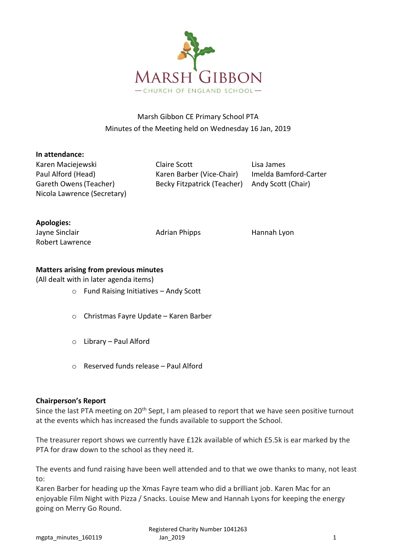

# Marsh Gibbon CE Primary School PTA Minutes of the Meeting held on Wednesday 16 Jan, 2019

#### **In attendance:**

Nicola Lawrence (Secretary)

Karen Maciejewski Claire Scott Lisa James Paul Alford (Head) Karen Barber (Vice-Chair) Imelda Bamford-Carter Gareth Owens(Teacher) Becky Fitzpatrick (Teacher) Andy Scott (Chair)

### **Apologies:**

Jayne Sinclair **Adrian Phipps** Hannah Lyon Robert Lawrence

# **Matters arising from previous minutes**

(All dealt with in later agenda items)

- o Fund Raising Initiatives Andy Scott
- o Christmas Fayre Update Karen Barber
- o Library Paul Alford
- o Reserved funds release Paul Alford

# **Chairperson's Report**

Since the last PTA meeting on 20<sup>th</sup> Sept, I am pleased to report that we have seen positive turnout at the events which has increased the funds available to support the School.

The treasurer report shows we currently have £12k available of which £5.5k is ear marked by the PTA for draw down to the school as they need it.

The events and fund raising have been well attended and to that we owe thanks to many, not least to:

Karen Barber for heading up the Xmas Fayre team who did a brilliant job. Karen Mac for an enjoyable Film Night with Pizza / Snacks. Louise Mew and Hannah Lyons for keeping the energy going on Merry Go Round.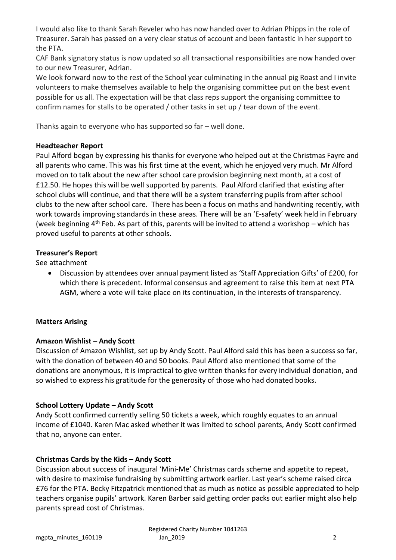I would also like to thank Sarah Reveler who has now handed over to Adrian Phipps in the role of Treasurer. Sarah has passed on a very clear status of account and been fantastic in her support to the PTA.

CAF Bank signatory status is now updated so all transactional responsibilities are now handed over to our new Treasurer, Adrian.

We look forward now to the rest of the School year culminating in the annual pig Roast and I invite volunteers to make themselves available to help the organising committee put on the best event possible for us all. The expectation will be that class reps support the organising committee to confirm names for stalls to be operated / other tasks in set up / tear down of the event.

Thanks again to everyone who has supported so far – well done.

## **Headteacher Report**

Paul Alford began by expressing his thanks for everyone who helped out at the Christmas Fayre and all parents who came. This was his first time at the event, which he enjoyed very much. Mr Alford moved on to talk about the new after school care provision beginning next month, at a cost of £12.50. He hopes this will be well supported by parents. Paul Alford clarified that existing after school clubs will continue, and that there will be a system transferring pupils from after school clubs to the new after school care. There has been a focus on maths and handwriting recently, with work towards improving standards in these areas. There will be an 'E-safety' week held in February (week beginning  $4<sup>th</sup>$  Feb. As part of this, parents will be invited to attend a workshop – which has proved useful to parents at other schools.

## **Treasurer's Report**

See attachment

• Discussion by attendees over annual payment listed as 'Staff Appreciation Gifts' of £200, for which there is precedent. Informal consensus and agreement to raise this item at next PTA AGM, where a vote will take place on its continuation, in the interests of transparency.

# **Matters Arising**

### **Amazon Wishlist – Andy Scott**

Discussion of Amazon Wishlist, set up by Andy Scott. Paul Alford said this has been a success so far, with the donation of between 40 and 50 books. Paul Alford also mentioned that some of the donations are anonymous, it is impractical to give written thanks for every individual donation, and so wished to express his gratitude for the generosity of those who had donated books.

# **School Lottery Update – Andy Scott**

Andy Scott confirmed currently selling 50 tickets a week, which roughly equates to an annual income of £1040. Karen Mac asked whether it was limited to school parents, Andy Scott confirmed that no, anyone can enter.

# **Christmas Cards by the Kids – Andy Scott**

Discussion about success of inaugural 'Mini-Me' Christmas cards scheme and appetite to repeat, with desire to maximise fundraising by submitting artwork earlier. Last year's scheme raised circa £76 for the PTA. Becky Fitzpatrick mentioned that as much as notice as possible appreciated to help teachers organise pupils' artwork. Karen Barber said getting order packs out earlier might also help parents spread cost of Christmas.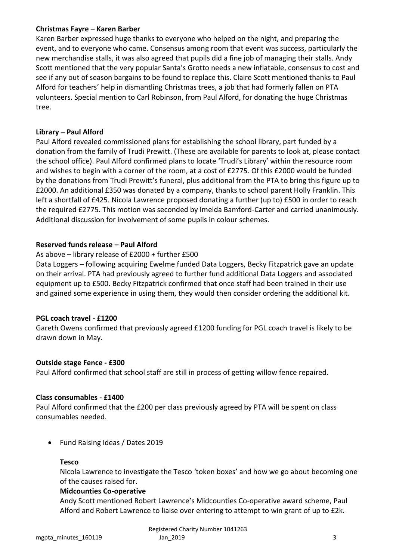### **Christmas Fayre – Karen Barber**

Karen Barber expressed huge thanks to everyone who helped on the night, and preparing the event, and to everyone who came. Consensus among room that event was success, particularly the new merchandise stalls, it was also agreed that pupils did a fine job of managing their stalls. Andy Scott mentioned that the very popular Santa's Grotto needs a new inflatable, consensus to cost and see if any out of season bargains to be found to replace this. Claire Scott mentioned thanks to Paul Alford for teachers' help in dismantling Christmas trees, a job that had formerly fallen on PTA volunteers. Special mention to Carl Robinson, from Paul Alford, for donating the huge Christmas tree.

### **Library – Paul Alford**

Paul Alford revealed commissioned plans for establishing the school library, part funded by a donation from the family of Trudi Prewitt. (These are available for parents to look at, please contact the school office). Paul Alford confirmed plans to locate 'Trudi's Library' within the resource room and wishes to begin with a corner of the room, at a cost of £2775. Of this £2000 would be funded by the donations from Trudi Prewitt's funeral, plus additional from the PTA to bring this figure up to £2000. An additional £350 was donated by a company, thanks to school parent Holly Franklin. This left a shortfall of £425. Nicola Lawrence proposed donating a further (up to) £500 in order to reach the required £2775. This motion was seconded by Imelda Bamford-Carter and carried unanimously. Additional discussion for involvement of some pupils in colour schemes.

### **Reserved funds release – Paul Alford**

### As above – library release of £2000 + further £500

Data Loggers – following acquiring Ewelme funded Data Loggers, Becky Fitzpatrick gave an update on their arrival. PTA had previously agreed to further fund additional Data Loggers and associated equipment up to £500. Becky Fitzpatrick confirmed that once staff had been trained in their use and gained some experience in using them, they would then consider ordering the additional kit.

#### **PGL coach travel - £1200**

Gareth Owens confirmed that previously agreed £1200 funding for PGL coach travel is likely to be drawn down in May.

#### **Outside stage Fence - £300**

Paul Alford confirmed that school staff are still in process of getting willow fence repaired.

#### **Class consumables - £1400**

Paul Alford confirmed that the £200 per class previously agreed by PTA will be spent on class consumables needed.

• Fund Raising Ideas / Dates 2019

#### **Tesco**

Nicola Lawrence to investigate the Tesco 'token boxes' and how we go about becoming one of the causes raised for.

#### **Midcounties Co-operative**

Andy Scott mentioned Robert Lawrence's Midcounties Co-operative award scheme, Paul Alford and Robert Lawrence to liaise over entering to attempt to win grant of up to £2k.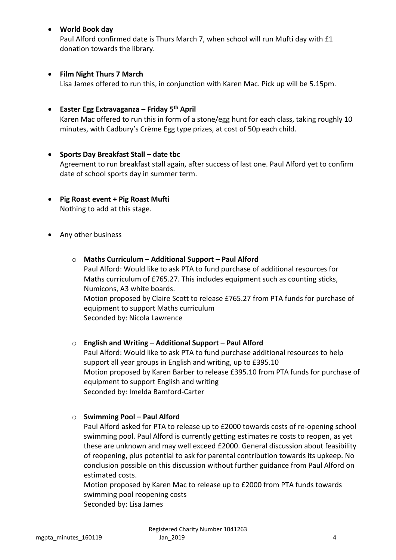### • **World Book day**

Paul Alford confirmed date is Thurs March 7, when school will run Mufti day with £1 donation towards the library.

### • **Film Night Thurs 7 March**

Lisa James offered to run this, in conjunction with Karen Mac. Pick up will be 5.15pm.

# • **Easter Egg Extravaganza – Friday 5 th April**

Karen Mac offered to run this in form of a stone/egg hunt for each class, taking roughly 10 minutes, with Cadbury's Crème Egg type prizes, at cost of 50p each child.

- **Sports Day Breakfast Stall – date tbc** Agreement to run breakfast stall again, after success of last one. Paul Alford yet to confirm date of school sports day in summer term.
- **Pig Roast event + Pig Roast Mufti** Nothing to add at this stage.
- Any other business
	- o **Maths Curriculum – Additional Support – Paul Alford** Paul Alford: Would like to ask PTA to fund purchase of additional resources for Maths curriculum of £765.27. This includes equipment such as counting sticks, Numicons, A3 white boards. Motion proposed by Claire Scott to release £765.27 from PTA funds for purchase of equipment to support Maths curriculum Seconded by: Nicola Lawrence

o **English and Writing – Additional Support – Paul Alford** Paul Alford: Would like to ask PTA to fund purchase additional resources to help support all year groups in English and writing, up to £395.10 Motion proposed by Karen Barber to release £395.10 from PTA funds for purchase of equipment to support English and writing Seconded by: Imelda Bamford-Carter

o **Swimming Pool – Paul Alford**

Paul Alford asked for PTA to release up to £2000 towards costs of re-opening school swimming pool. Paul Alford is currently getting estimates re costs to reopen, as yet these are unknown and may well exceed £2000. General discussion about feasibility of reopening, plus potential to ask for parental contribution towards its upkeep. No conclusion possible on this discussion without further guidance from Paul Alford on estimated costs.

Motion proposed by Karen Mac to release up to £2000 from PTA funds towards swimming pool reopening costs Seconded by: Lisa James